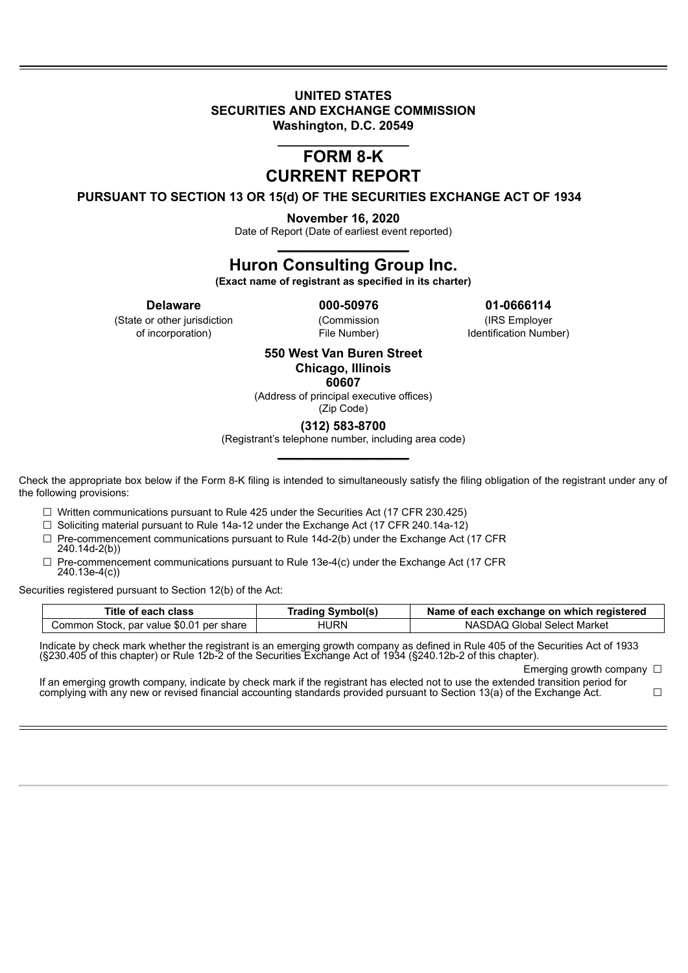### **UNITED STATES SECURITIES AND EXCHANGE COMMISSION Washington, D.C. 20549**

## \_\_\_\_\_\_\_\_\_\_\_\_\_\_\_\_\_\_\_\_\_ **FORM 8-K CURRENT REPORT**

**PURSUANT TO SECTION 13 OR 15(d) OF THE SECURITIES EXCHANGE ACT OF 1934**

**November 16, 2020**

Date of Report (Date of earliest event reported) \_\_\_\_\_\_\_\_\_\_\_\_\_\_\_\_\_\_\_\_\_

# **Huron Consulting Group Inc.**

**(Exact name of registrant as specified in its charter)**

**Delaware 000-50976 01-0666114**

(State or other jurisdiction (Commission (IRS Employer of incorporation) File Number) Identification Number)

> **550 West Van Buren Street Chicago, Illinois**

**60607**

(Address of principal executive offices)

(Zip Code) **(312) 583-8700**

(Registrant's telephone number, including area code) \_\_\_\_\_\_\_\_\_\_\_\_\_\_\_\_\_\_\_\_\_

Check the appropriate box below if the Form 8-K filing is intended to simultaneously satisfy the filing obligation of the registrant under any of the following provisions:

 $\Box$  Written communications pursuant to Rule 425 under the Securities Act (17 CFR 230.425)

 $\Box$  Soliciting material pursuant to Rule 14a-12 under the Exchange Act (17 CFR 240.14a-12)

- $\Box$  Pre-commencement communications pursuant to Rule 14d-2(b) under the Exchange Act (17 CFR 240.14d-2(b))
- $\Box$  Pre-commencement communications pursuant to Rule 13e-4(c) under the Exchange Act (17 CFR 240.13e-4(c))

Securities registered pursuant to Section 12(b) of the Act:

| Title of each class                      | <b>Trading Symbol(s)</b> | Name of each exchange on which registered |
|------------------------------------------|--------------------------|-------------------------------------------|
| Common Stock, par value \$0.01 per share | HURN                     | NASDAQ Global Select Market               |

Indicate by check mark whether the registrant is an emerging growth company as defined in Rule 405 of the Securities Act of 1933 (§230.405 of this chapter) or Rule 12b-2 of the Securities Exchange Act of 1934 (§240.12b-2 of this chapter).

Emerging growth company □

If an emerging growth company, indicate by check mark if the registrant has elected not to use the extended transition period for complying with any new or revised financial accounting standards provided pursuant to Section 13(a) of the Exchange Act.  $□$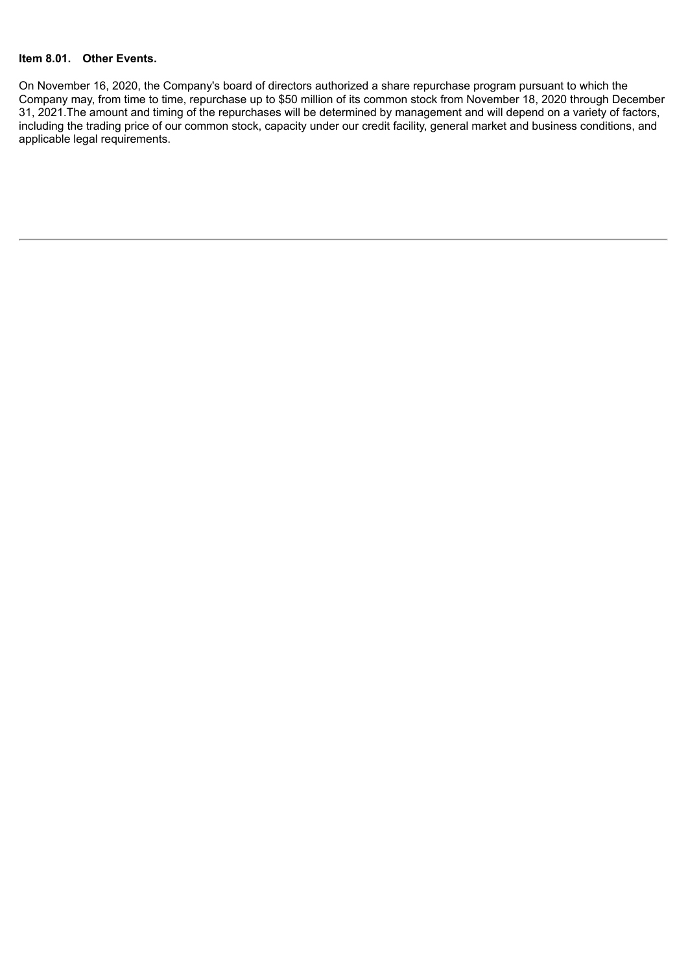### **Item 8.01. Other Events.**

On November 16, 2020, the Company's board of directors authorized a share repurchase program pursuant to which the Company may, from time to time, repurchase up to \$50 million of its common stock from November 18, 2020 through December 31, 2021. The amount and timing of the repurchases will be determined by management and will depend on a variety of factors, including the trading price of our common stock, capacity under our credit facility, general market and business conditions, and applicable legal requirements.